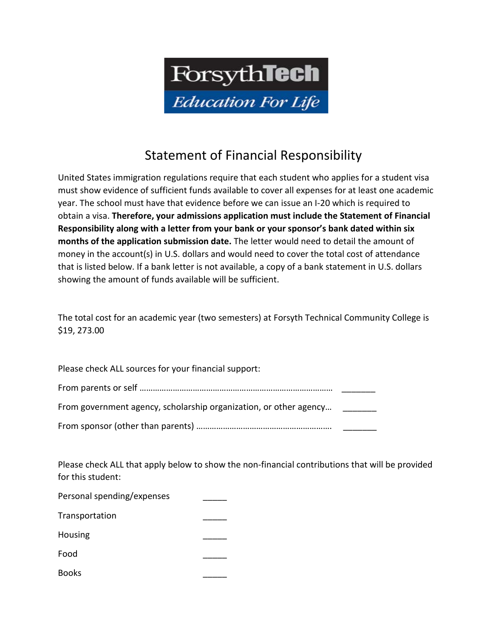

## Statement of Financial Responsibility

United States immigration regulations require that each student who applies for a student visa must show evidence of sufficient funds available to cover all expenses for at least one academic year. The school must have that evidence before we can issue an I-20 which is required to obtain a visa. **Therefore, your admissions application must include the Statement of Financial Responsibility along with a letter from your bank or your sponsor's bank dated within six months of the application submission date.** The letter would need to detail the amount of money in the account(s) in U.S. dollars and would need to cover the total cost of attendance that is listed below. If a bank letter is not available, a copy of a bank statement in U.S. dollars showing the amount of funds available will be sufficient.

The total cost for an academic year (two semesters) at Forsyth Technical Community College is \$19, 273.00

Please check ALL sources for your financial support: From parents or self …………………………………………………………………………… \_\_\_\_\_\_\_ From government agency, scholarship organization, or other agency... From sponsor (other than parents) ……………………………………………………. \_\_\_\_\_\_\_

Please check ALL that apply below to show the non-financial contributions that will be provided for this student:

| Personal spending/expenses |  |
|----------------------------|--|
| Transportation             |  |
| Housing                    |  |
| Food                       |  |
| <b>Books</b>               |  |